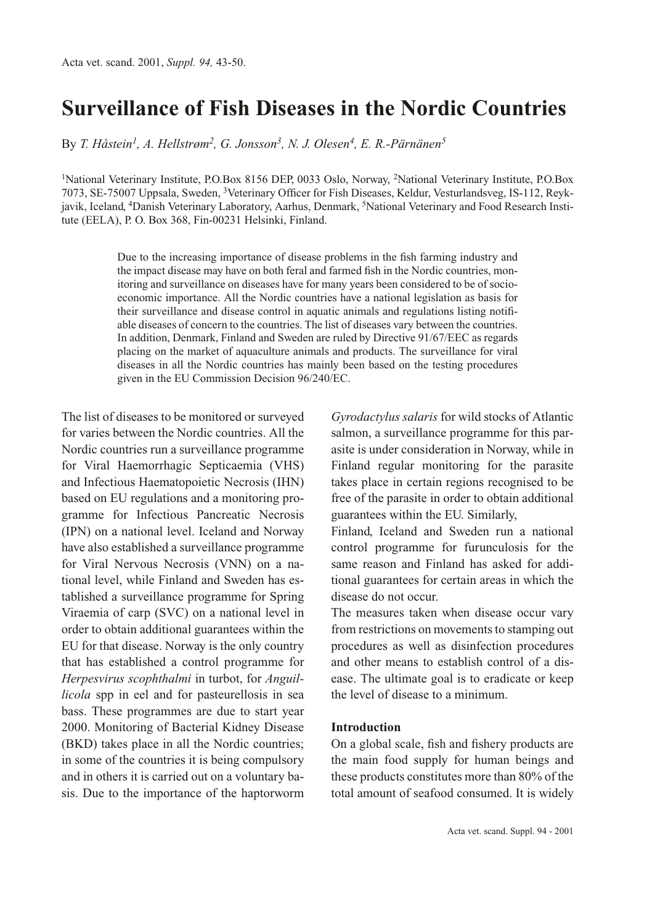# **Surveillance of Fish Diseases in the Nordic Countries**

By *T. Håstein1, A. Hellstrøm2, G. Jonsson3, N. J. Olesen4, E. R.-Pärnänen5*

<sup>1</sup>National Veterinary Institute, P.O.Box 8156 DEP, 0033 Oslo, Norway, <sup>2</sup>National Veterinary Institute, P.O.Box 7073, SE-75007 Uppsala, Sweden, 3Veterinary Officer for Fish Diseases, Keldur, Vesturlandsveg, IS-112, Reykjavik, Iceland, 4Danish Veterinary Laboratory, Aarhus, Denmark, 5National Veterinary and Food Research Institute (EELA), P. O. Box 368, Fin-00231 Helsinki, Finland.

> Due to the increasing importance of disease problems in the fish farming industry and the impact disease may have on both feral and farmed fish in the Nordic countries, monitoring and surveillance on diseases have for many years been considered to be of socioeconomic importance. All the Nordic countries have a national legislation as basis for their surveillance and disease control in aquatic animals and regulations listing notifiable diseases of concern to the countries. The list of diseases vary between the countries. In addition, Denmark, Finland and Sweden are ruled by Directive 91/67/EEC as regards placing on the market of aquaculture animals and products. The surveillance for viral diseases in all the Nordic countries has mainly been based on the testing procedures given in the EU Commission Decision 96/240/EC.

The list of diseases to be monitored or surveyed for varies between the Nordic countries. All the Nordic countries run a surveillance programme for Viral Haemorrhagic Septicaemia (VHS) and Infectious Haematopoietic Necrosis (IHN) based on EU regulations and a monitoring programme for Infectious Pancreatic Necrosis (IPN) on a national level. Iceland and Norway have also established a surveillance programme for Viral Nervous Necrosis (VNN) on a national level, while Finland and Sweden has established a surveillance programme for Spring Viraemia of carp (SVC) on a national level in order to obtain additional guarantees within the EU for that disease. Norway is the only country that has established a control programme for *Herpesvirus scophthalmi* in turbot, for *Anguillicola* spp in eel and for pasteurellosis in sea bass. These programmes are due to start year 2000. Monitoring of Bacterial Kidney Disease (BKD) takes place in all the Nordic countries; in some of the countries it is being compulsory and in others it is carried out on a voluntary basis. Due to the importance of the haptorworm

*Gyrodactylus salaris* for wild stocks of Atlantic salmon, a surveillance programme for this parasite is under consideration in Norway, while in Finland regular monitoring for the parasite takes place in certain regions recognised to be free of the parasite in order to obtain additional guarantees within the EU. Similarly,

Finland, Iceland and Sweden run a national control programme for furunculosis for the same reason and Finland has asked for additional guarantees for certain areas in which the disease do not occur.

The measures taken when disease occur vary from restrictions on movements to stamping out procedures as well as disinfection procedures and other means to establish control of a disease. The ultimate goal is to eradicate or keep the level of disease to a minimum.

#### **Introduction**

On a global scale, fish and fishery products are the main food supply for human beings and these products constitutes more than 80% of the total amount of seafood consumed. It is widely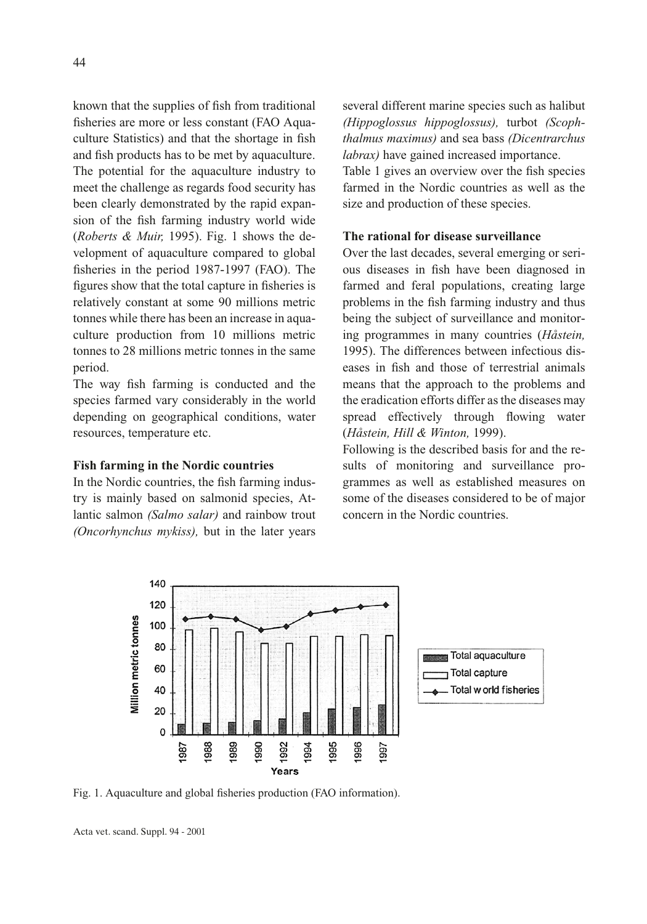known that the supplies of fish from traditional fisheries are more or less constant (FAO Aquaculture Statistics) and that the shortage in fish and fish products has to be met by aquaculture. The potential for the aquaculture industry to meet the challenge as regards food security has been clearly demonstrated by the rapid expansion of the fish farming industry world wide (*Roberts & Muir,* 1995). Fig. 1 shows the development of aquaculture compared to global fisheries in the period 1987-1997 (FAO). The figures show that the total capture in fisheries is relatively constant at some 90 millions metric tonnes while there has been an increase in aquaculture production from 10 millions metric tonnes to 28 millions metric tonnes in the same period.

The way fish farming is conducted and the species farmed vary considerably in the world depending on geographical conditions, water resources, temperature etc.

## **Fish farming in the Nordic countries**

In the Nordic countries, the fish farming industry is mainly based on salmonid species, Atlantic salmon *(Salmo salar)* and rainbow trout *(Oncorhynchus mykiss),* but in the later years several different marine species such as halibut *(Hippoglossus hippoglossus),* turbot *(Scophthalmus maximus)* and sea bass *(Dicentrarchus labrax)* have gained increased importance.

Table 1 gives an overview over the fish species farmed in the Nordic countries as well as the size and production of these species.

#### **The rational for disease surveillance**

Over the last decades, several emerging or serious diseases in fish have been diagnosed in farmed and feral populations, creating large problems in the fish farming industry and thus being the subject of surveillance and monitoring programmes in many countries (*Håstein,* 1995). The differences between infectious diseases in fish and those of terrestrial animals means that the approach to the problems and the eradication efforts differ as the diseases may spread effectively through flowing water (*Håstein, Hill & Winton,* 1999).

Following is the described basis for and the results of monitoring and surveillance programmes as well as established measures on some of the diseases considered to be of major concern in the Nordic countries.



Fig. 1. Aquaculture and global fisheries production (FAO information).

Acta vet. scand. Suppl. 94 - 2001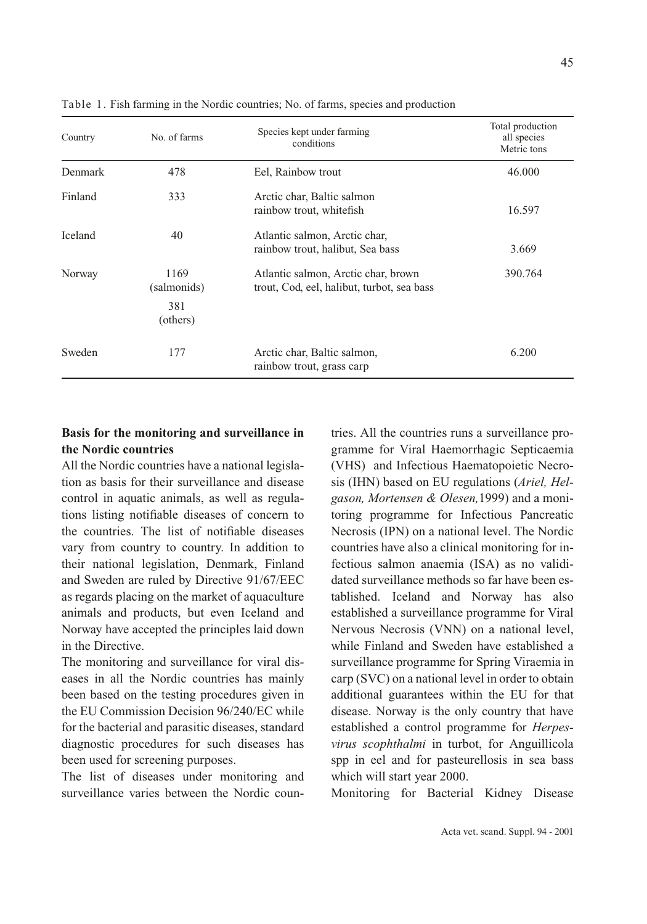| Country        | No. of farms        | Species kept under farming<br>conditions                                          | Total production<br>all species<br>Metric tons |
|----------------|---------------------|-----------------------------------------------------------------------------------|------------------------------------------------|
| Denmark        | 478                 | Eel, Rainbow trout                                                                | 46.000                                         |
| Finland        | 333                 | Arctic char, Baltic salmon<br>rainbow trout, whitefish                            | 16.597                                         |
| <b>Iceland</b> | 40                  | Atlantic salmon, Arctic char,<br>rainbow trout, halibut, Sea bass<br>3.669        |                                                |
| Norway         | 1169<br>(salmonids) | Atlantic salmon, Arctic char, brown<br>trout, Cod, eel, halibut, turbot, sea bass | 390.764                                        |
|                | 381<br>(others)     |                                                                                   |                                                |
| Sweden         | 177                 | Arctic char, Baltic salmon,<br>rainbow trout, grass carp                          | 6.200                                          |

Table 1. Fish farming in the Nordic countries; No. of farms, species and production

# **Basis for the monitoring and surveillance in the Nordic countries**

All the Nordic countries have a national legislation as basis for their surveillance and disease control in aquatic animals, as well as regulations listing notifiable diseases of concern to the countries. The list of notifiable diseases vary from country to country. In addition to their national legislation, Denmark, Finland and Sweden are ruled by Directive 91/67/EEC as regards placing on the market of aquaculture animals and products, but even Iceland and Norway have accepted the principles laid down in the Directive.

The monitoring and surveillance for viral diseases in all the Nordic countries has mainly been based on the testing procedures given in the EU Commission Decision 96/240/EC while for the bacterial and parasitic diseases, standard diagnostic procedures for such diseases has been used for screening purposes.

The list of diseases under monitoring and surveillance varies between the Nordic countries. All the countries runs a surveillance programme for Viral Haemorrhagic Septicaemia (VHS) and Infectious Haematopoietic Necrosis (IHN) based on EU regulations (*Ariel, Helgason, Mortensen & Olesen,*1999) and a monitoring programme for Infectious Pancreatic Necrosis (IPN) on a national level. The Nordic countries have also a clinical monitoring for infectious salmon anaemia (ISA) as no valididated surveillance methods so far have been established. Iceland and Norway has also established a surveillance programme for Viral Nervous Necrosis (VNN) on a national level, while Finland and Sweden have established a surveillance programme for Spring Viraemia in carp (SVC) on a national level in order to obtain additional guarantees within the EU for that disease. Norway is the only country that have established a control programme for *Herpesvirus scophthalmi* in turbot, for Anguillicola spp in eel and for pasteurellosis in sea bass which will start year 2000.

Monitoring for Bacterial Kidney Disease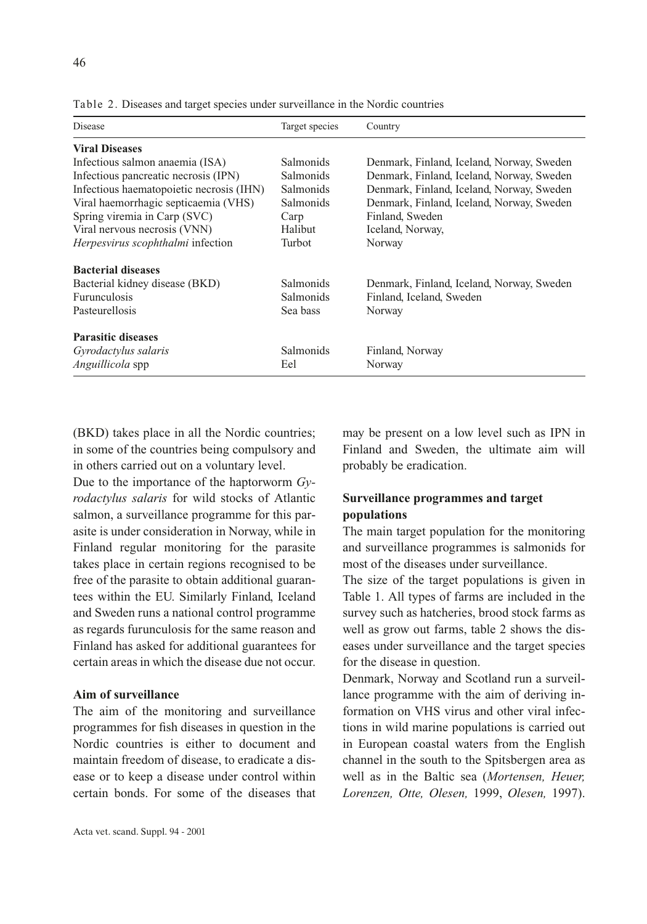| Disease                                  | Target species   | Country                                   |
|------------------------------------------|------------------|-------------------------------------------|
| <b>Viral Diseases</b>                    |                  |                                           |
| Infectious salmon anaemia (ISA)          | <b>Salmonids</b> | Denmark, Finland, Iceland, Norway, Sweden |
| Infectious pancreatic necrosis (IPN)     | Salmonids        | Denmark, Finland, Iceland, Norway, Sweden |
| Infectious haematopoietic necrosis (IHN) | Salmonids        | Denmark, Finland, Iceland, Norway, Sweden |
| Viral haemorrhagic septicaemia (VHS)     | Salmonids        | Denmark, Finland, Iceland, Norway, Sweden |
| Spring viremia in Carp (SVC)             | Carp             | Finland, Sweden                           |
| Viral nervous necrosis (VNN)             | Halibut          | Iceland, Norway,                          |
| Herpesvirus scophthalmi infection        | Turbot           | Norway                                    |
| <b>Bacterial diseases</b>                |                  |                                           |
| Bacterial kidney disease (BKD)           | Salmonids        | Denmark, Finland, Iceland, Norway, Sweden |
| <b>Furunculosis</b>                      | Salmonids        | Finland, Iceland, Sweden                  |
| Pasteurellosis                           | Sea bass         | Norway                                    |
| <b>Parasitic diseases</b>                |                  |                                           |
| Gyrodactylus salaris                     | Salmonids        | Finland, Norway                           |
| Anguillicola spp                         | Eel              | Norway                                    |

Table 2. Diseases and target species under surveillance in the Nordic countries

(BKD) takes place in all the Nordic countries; in some of the countries being compulsory and in others carried out on a voluntary level.

Due to the importance of the haptorworm *Gyrodactylus salaris* for wild stocks of Atlantic salmon, a surveillance programme for this parasite is under consideration in Norway, while in Finland regular monitoring for the parasite takes place in certain regions recognised to be free of the parasite to obtain additional guarantees within the EU. Similarly Finland, Iceland and Sweden runs a national control programme as regards furunculosis for the same reason and Finland has asked for additional guarantees for certain areas in which the disease due not occur.

#### **Aim of surveillance**

The aim of the monitoring and surveillance programmes for fish diseases in question in the Nordic countries is either to document and maintain freedom of disease, to eradicate a disease or to keep a disease under control within certain bonds. For some of the diseases that

may be present on a low level such as IPN in Finland and Sweden, the ultimate aim will probably be eradication.

# **Surveillance programmes and target populations**

The main target population for the monitoring and surveillance programmes is salmonids for most of the diseases under surveillance.

The size of the target populations is given in Table 1. All types of farms are included in the survey such as hatcheries, brood stock farms as well as grow out farms, table 2 shows the diseases under surveillance and the target species for the disease in question.

Denmark, Norway and Scotland run a surveillance programme with the aim of deriving information on VHS virus and other viral infections in wild marine populations is carried out in European coastal waters from the English channel in the south to the Spitsbergen area as well as in the Baltic sea (*Mortensen, Heuer, Lorenzen, Otte, Olesen,* 1999, *Olesen,* 1997).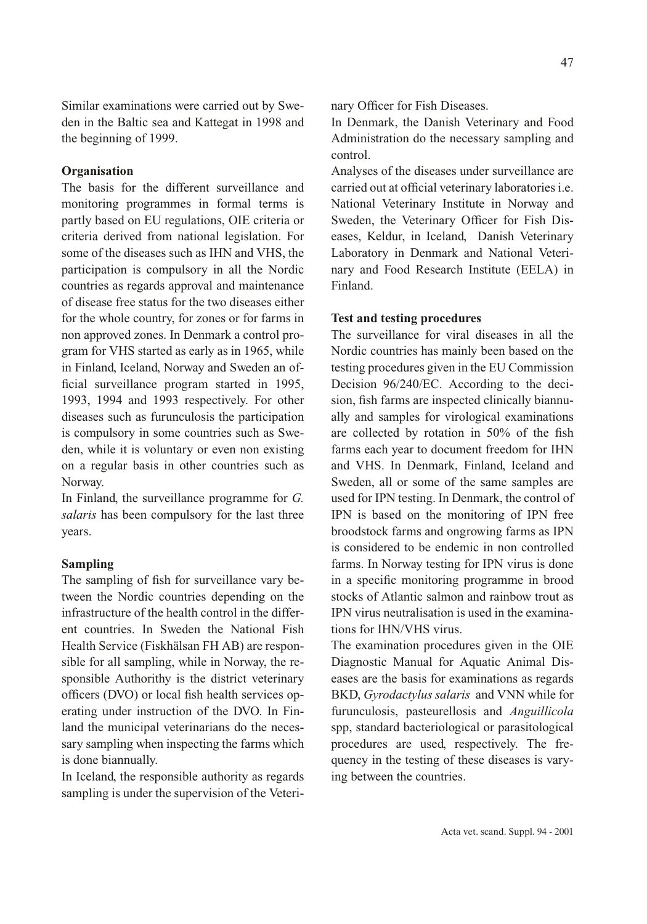Similar examinations were carried out by Sweden in the Baltic sea and Kattegat in 1998 and the beginning of 1999.

# **Organisation**

The basis for the different surveillance and monitoring programmes in formal terms is partly based on EU regulations, OIE criteria or criteria derived from national legislation. For some of the diseases such as IHN and VHS, the participation is compulsory in all the Nordic countries as regards approval and maintenance of disease free status for the two diseases either for the whole country, for zones or for farms in non approved zones. In Denmark a control program for VHS started as early as in 1965, while in Finland, Iceland, Norway and Sweden an official surveillance program started in 1995, 1993, 1994 and 1993 respectively. For other diseases such as furunculosis the participation is compulsory in some countries such as Sweden, while it is voluntary or even non existing on a regular basis in other countries such as Norway.

In Finland, the surveillance programme for *G. salaris* has been compulsory for the last three years.

## **Sampling**

The sampling of fish for surveillance vary between the Nordic countries depending on the infrastructure of the health control in the different countries. In Sweden the National Fish Health Service (Fiskhälsan FH AB) are responsible for all sampling, while in Norway, the responsible Authorithy is the district veterinary officers (DVO) or local fish health services operating under instruction of the DVO. In Finland the municipal veterinarians do the necessary sampling when inspecting the farms which is done biannually.

In Iceland, the responsible authority as regards sampling is under the supervision of the Veterinary Officer for Fish Diseases.

In Denmark, the Danish Veterinary and Food Administration do the necessary sampling and control.

Analyses of the diseases under surveillance are carried out at official veterinary laboratories i.e. National Veterinary Institute in Norway and Sweden, the Veterinary Officer for Fish Diseases, Keldur, in Iceland, Danish Veterinary Laboratory in Denmark and National Veterinary and Food Research Institute (EELA) in Finland.

# **Test and testing procedures**

The surveillance for viral diseases in all the Nordic countries has mainly been based on the testing procedures given in the EU Commission Decision 96/240/EC. According to the decision, fish farms are inspected clinically biannually and samples for virological examinations are collected by rotation in 50% of the fish farms each year to document freedom for IHN and VHS. In Denmark, Finland, Iceland and Sweden, all or some of the same samples are used for IPN testing. In Denmark, the control of IPN is based on the monitoring of IPN free broodstock farms and ongrowing farms as IPN is considered to be endemic in non controlled farms. In Norway testing for IPN virus is done in a specific monitoring programme in brood stocks of Atlantic salmon and rainbow trout as IPN virus neutralisation is used in the examinations for IHN/VHS virus.

The examination procedures given in the OIE Diagnostic Manual for Aquatic Animal Diseases are the basis for examinations as regards BKD, *Gyrodactylus salaris* and VNN while for furunculosis, pasteurellosis and *Anguillicola* spp, standard bacteriological or parasitological procedures are used, respectively. The frequency in the testing of these diseases is varying between the countries.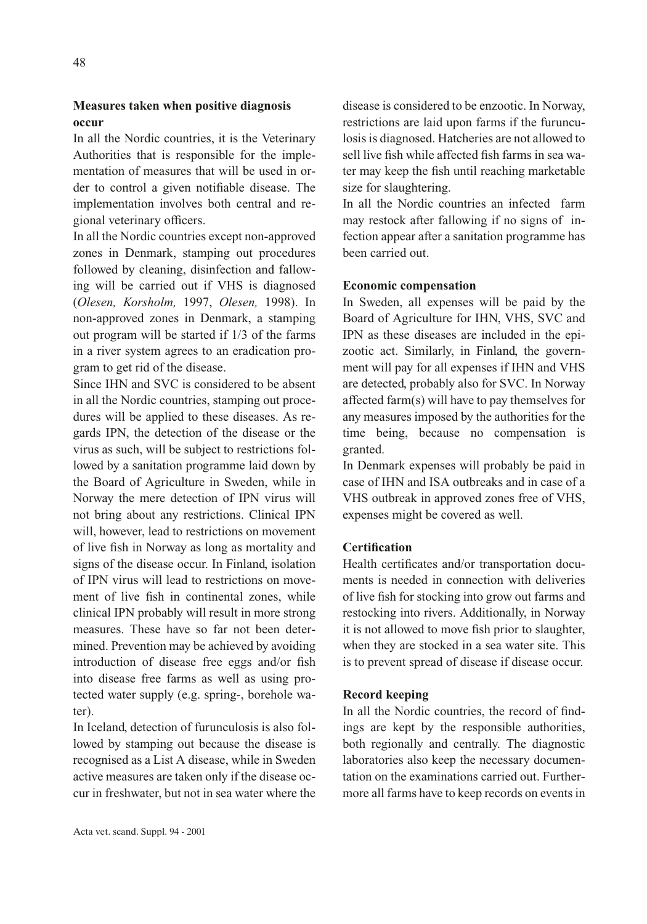# **Measures taken when positive diagnosis occur**

In all the Nordic countries, it is the Veterinary Authorities that is responsible for the implementation of measures that will be used in order to control a given notifiable disease. The implementation involves both central and regional veterinary officers.

In all the Nordic countries except non-approved zones in Denmark, stamping out procedures followed by cleaning, disinfection and fallowing will be carried out if VHS is diagnosed (*Olesen, Korsholm,* 1997, *Olesen,* 1998). In non-approved zones in Denmark, a stamping out program will be started if 1/3 of the farms in a river system agrees to an eradication program to get rid of the disease.

Since IHN and SVC is considered to be absent in all the Nordic countries, stamping out procedures will be applied to these diseases. As regards IPN, the detection of the disease or the virus as such, will be subject to restrictions followed by a sanitation programme laid down by the Board of Agriculture in Sweden, while in Norway the mere detection of IPN virus will not bring about any restrictions. Clinical IPN will, however, lead to restrictions on movement of live fish in Norway as long as mortality and signs of the disease occur. In Finland, isolation of IPN virus will lead to restrictions on movement of live fish in continental zones, while clinical IPN probably will result in more strong measures. These have so far not been determined. Prevention may be achieved by avoiding introduction of disease free eggs and/or fish into disease free farms as well as using protected water supply (e.g. spring-, borehole water).

In Iceland, detection of furunculosis is also followed by stamping out because the disease is recognised as a List A disease, while in Sweden active measures are taken only if the disease occur in freshwater, but not in sea water where the disease is considered to be enzootic. In Norway, restrictions are laid upon farms if the furunculosis is diagnosed. Hatcheries are not allowed to sell live fish while affected fish farms in sea water may keep the fish until reaching marketable size for slaughtering.

In all the Nordic countries an infected farm may restock after fallowing if no signs of infection appear after a sanitation programme has been carried out.

#### **Economic compensation**

In Sweden, all expenses will be paid by the Board of Agriculture for IHN, VHS, SVC and IPN as these diseases are included in the epizootic act. Similarly, in Finland, the government will pay for all expenses if IHN and VHS are detected, probably also for SVC. In Norway affected farm(s) will have to pay themselves for any measures imposed by the authorities for the time being, because no compensation is granted.

In Denmark expenses will probably be paid in case of IHN and ISA outbreaks and in case of a VHS outbreak in approved zones free of VHS, expenses might be covered as well.

#### **Certification**

Health certificates and/or transportation documents is needed in connection with deliveries of live fish for stocking into grow out farms and restocking into rivers. Additionally, in Norway it is not allowed to move fish prior to slaughter, when they are stocked in a sea water site. This is to prevent spread of disease if disease occur.

# **Record keeping**

In all the Nordic countries, the record of findings are kept by the responsible authorities, both regionally and centrally. The diagnostic laboratories also keep the necessary documentation on the examinations carried out. Furthermore all farms have to keep records on events in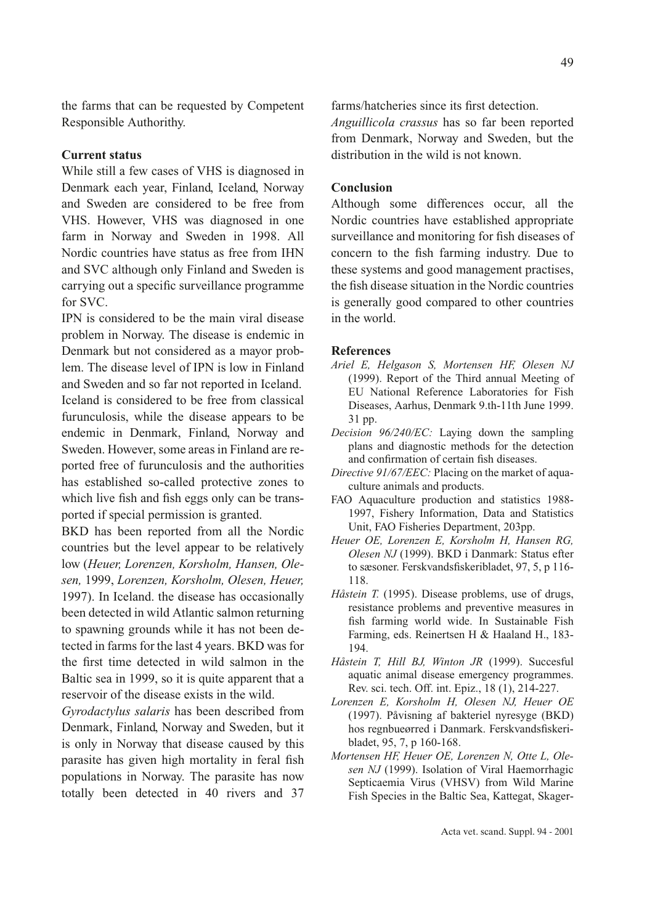the farms that can be requested by Competent Responsible Authorithy.

# **Current status**

While still a few cases of VHS is diagnosed in Denmark each year, Finland, Iceland, Norway and Sweden are considered to be free from VHS. However, VHS was diagnosed in one farm in Norway and Sweden in 1998. All Nordic countries have status as free from IHN and SVC although only Finland and Sweden is carrying out a specific surveillance programme for SVC.

IPN is considered to be the main viral disease problem in Norway. The disease is endemic in Denmark but not considered as a mayor problem. The disease level of IPN is low in Finland and Sweden and so far not reported in Iceland. Iceland is considered to be free from classical furunculosis, while the disease appears to be endemic in Denmark, Finland, Norway and Sweden. However, some areas in Finland are reported free of furunculosis and the authorities has established so-called protective zones to which live fish and fish eggs only can be transported if special permission is granted.

BKD has been reported from all the Nordic countries but the level appear to be relatively low (*Heuer, Lorenzen, Korsholm, Hansen, Olesen,* 1999, *Lorenzen, Korsholm, Olesen, Heuer,* 1997). In Iceland. the disease has occasionally been detected in wild Atlantic salmon returning to spawning grounds while it has not been detected in farms for the last 4 years. BKD was for the first time detected in wild salmon in the Baltic sea in 1999, so it is quite apparent that a reservoir of the disease exists in the wild.

*Gyrodactylus salaris* has been described from Denmark, Finland, Norway and Sweden, but it is only in Norway that disease caused by this parasite has given high mortality in feral fish populations in Norway. The parasite has now totally been detected in 40 rivers and 37 farms/hatcheries since its first detection.

*Anguillicola crassus* has so far been reported from Denmark, Norway and Sweden, but the distribution in the wild is not known.

#### **Conclusion**

Although some differences occur, all the Nordic countries have established appropriate surveillance and monitoring for fish diseases of concern to the fish farming industry. Due to these systems and good management practises, the fish disease situation in the Nordic countries is generally good compared to other countries in the world.

#### **References**

- *Ariel E, Helgason S, Mortensen HF, Olesen NJ* (1999). Report of the Third annual Meeting of EU National Reference Laboratories for Fish Diseases, Aarhus, Denmark 9.th-11th June 1999. 31 pp.
- *Decision 96/240/EC:* Laying down the sampling plans and diagnostic methods for the detection and confirmation of certain fish diseases.
- *Directive 91/67/EEC:* Placing on the market of aquaculture animals and products.
- FAO Aquaculture production and statistics 1988- 1997, Fishery Information, Data and Statistics Unit, FAO Fisheries Department, 203pp.
- *Heuer OE, Lorenzen E, Korsholm H, Hansen RG, Olesen NJ* (1999). BKD i Danmark: Status efter to sæsoner. Ferskvandsfiskeribladet, 97, 5, p 116- 118.
- *Håstein T.* (1995). Disease problems, use of drugs, resistance problems and preventive measures in fish farming world wide. In Sustainable Fish Farming, eds. Reinertsen H & Haaland H., 183- 194.
- *Håstein T, Hill BJ, Winton JR* (1999). Succesful aquatic animal disease emergency programmes. Rev. sci. tech. Off. int. Epiz., 18 (1), 214-227.
- *Lorenzen E, Korsholm H, Olesen NJ, Heuer OE* (1997). Påvisning af bakteriel nyresyge (BKD) hos regnbueørred i Danmark. Ferskvandsfiskeribladet, 95, 7, p 160-168.
- *Mortensen HF, Heuer OE, Lorenzen N, Otte L, Olesen NJ* (1999). Isolation of Viral Haemorrhagic Septicaemia Virus (VHSV) from Wild Marine Fish Species in the Baltic Sea, Kattegat, Skager-